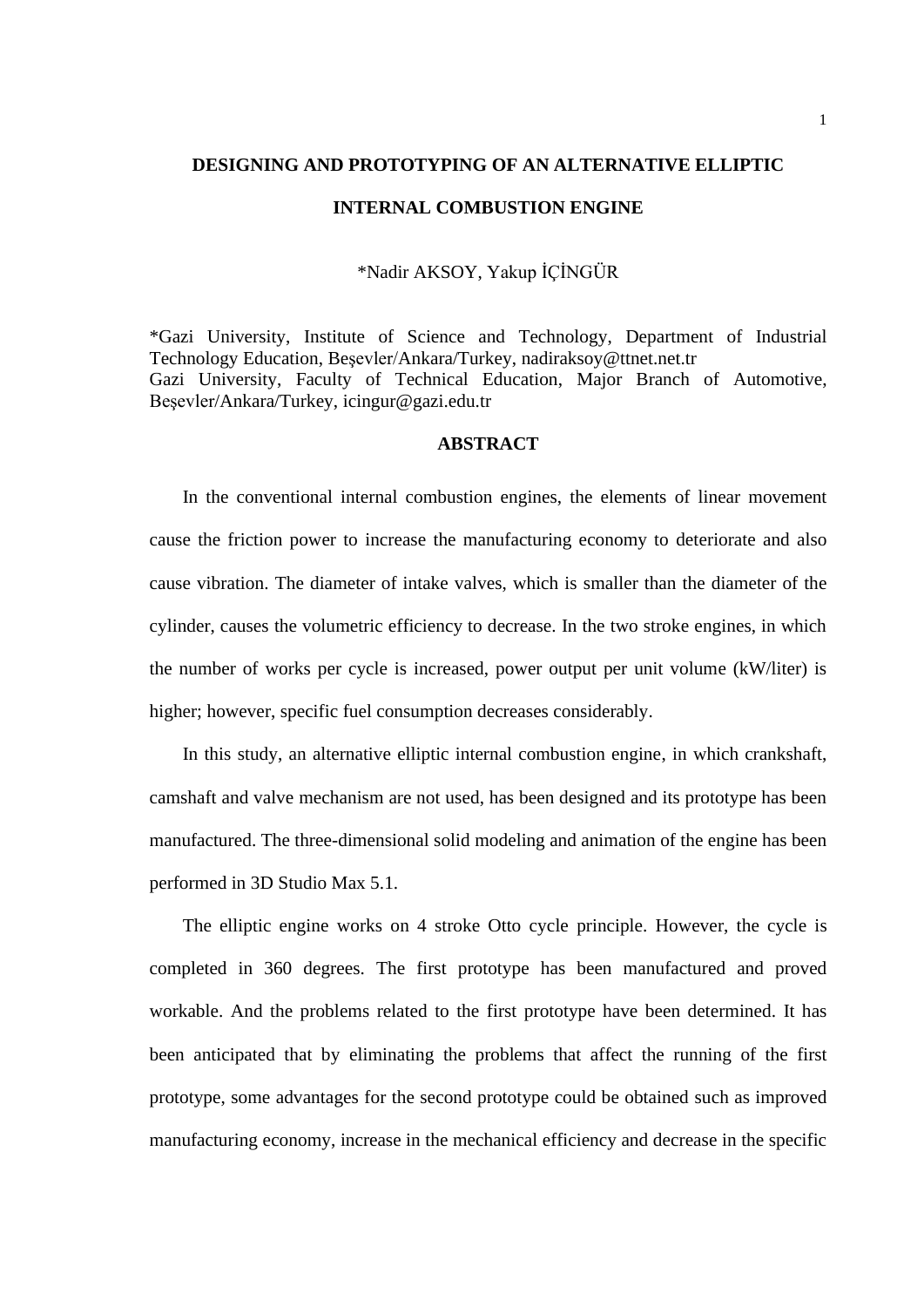# **DESIGNING AND PROTOTYPING OF AN ALTERNATIVE ELLIPTIC INTERNAL COMBUSTION ENGINE**

## \*Nadir AKSOY, Yakup İÇİNGÜR

\*Gazi University, Institute of Science and Technology, Department of Industrial Technology Education, Beşevler/Ankara/Turkey, nadiraksoy@ttnet.net.tr Gazi University, Faculty of Technical Education, Major Branch of Automotive, Beşevler/Ankara/Turkey, icingur@gazi.edu.tr

# **ABSTRACT**

In the conventional internal combustion engines, the elements of linear movement cause the friction power to increase the manufacturing economy to deteriorate and also cause vibration. The diameter of intake valves, which is smaller than the diameter of the cylinder, causes the volumetric efficiency to decrease. In the two stroke engines, in which the number of works per cycle is increased, power output per unit volume (kW/liter) is higher; however, specific fuel consumption decreases considerably.

In this study, an alternative elliptic internal combustion engine, in which crankshaft, camshaft and valve mechanism are not used, has been designed and its prototype has been manufactured. The three-dimensional solid modeling and animation of the engine has been performed in 3D Studio Max 5.1.

The elliptic engine works on 4 stroke Otto cycle principle. However, the cycle is completed in 360 degrees. The first prototype has been manufactured and proved workable. And the problems related to the first prototype have been determined. It has been anticipated that by eliminating the problems that affect the running of the first prototype, some advantages for the second prototype could be obtained such as improved manufacturing economy, increase in the mechanical efficiency and decrease in the specific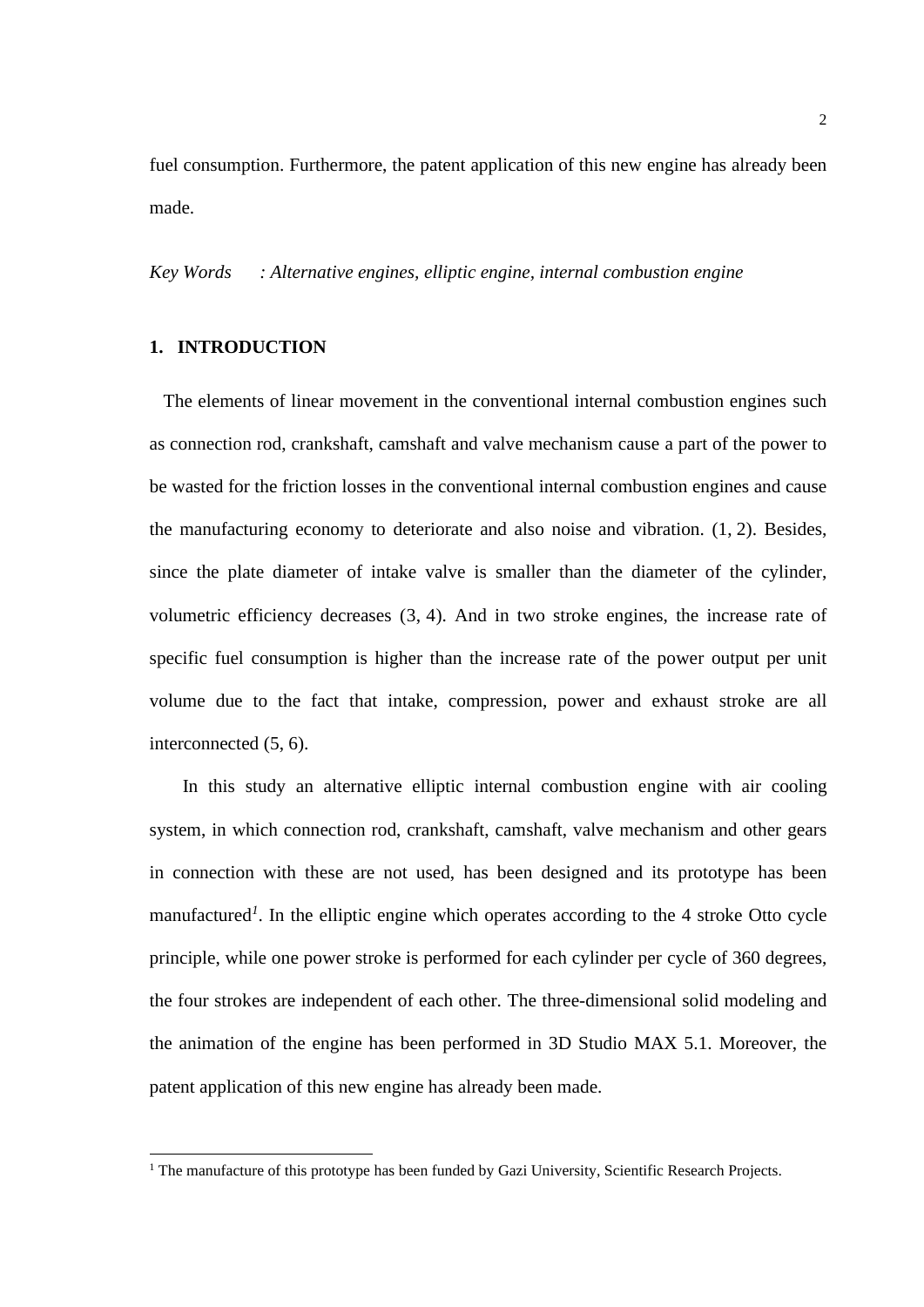fuel consumption. Furthermore, the patent application of this new engine has already been made.

*Key Words : Alternative engines, elliptic engine, internal combustion engine*

#### **1. INTRODUCTION**

 The elements of linear movement in the conventional internal combustion engines such as connection rod, crankshaft, camshaft and valve mechanism cause a part of the power to be wasted for the friction losses in the conventional internal combustion engines and cause the manufacturing economy to deteriorate and also noise and vibration. (1, 2). Besides, since the plate diameter of intake valve is smaller than the diameter of the cylinder, volumetric efficiency decreases (3, 4). And in two stroke engines, the increase rate of specific fuel consumption is higher than the increase rate of the power output per unit volume due to the fact that intake, compression, power and exhaust stroke are all interconnected (5, 6).

In this study an alternative elliptic internal combustion engine with air cooling system, in which connection rod, crankshaft, camshaft, valve mechanism and other gears in connection with these are not used, has been designed and its prototype has been manufactured<sup>1</sup>. In the elliptic engine which operates according to the 4 stroke Otto cycle principle, while one power stroke is performed for each cylinder per cycle of 360 degrees, the four strokes are independent of each other. The three-dimensional solid modeling and the animation of the engine has been performed in 3D Studio MAX 5.1. Moreover, the patent application of this new engine has already been made.

<sup>&</sup>lt;sup>1</sup> The manufacture of this prototype has been funded by Gazi University, Scientific Research Projects.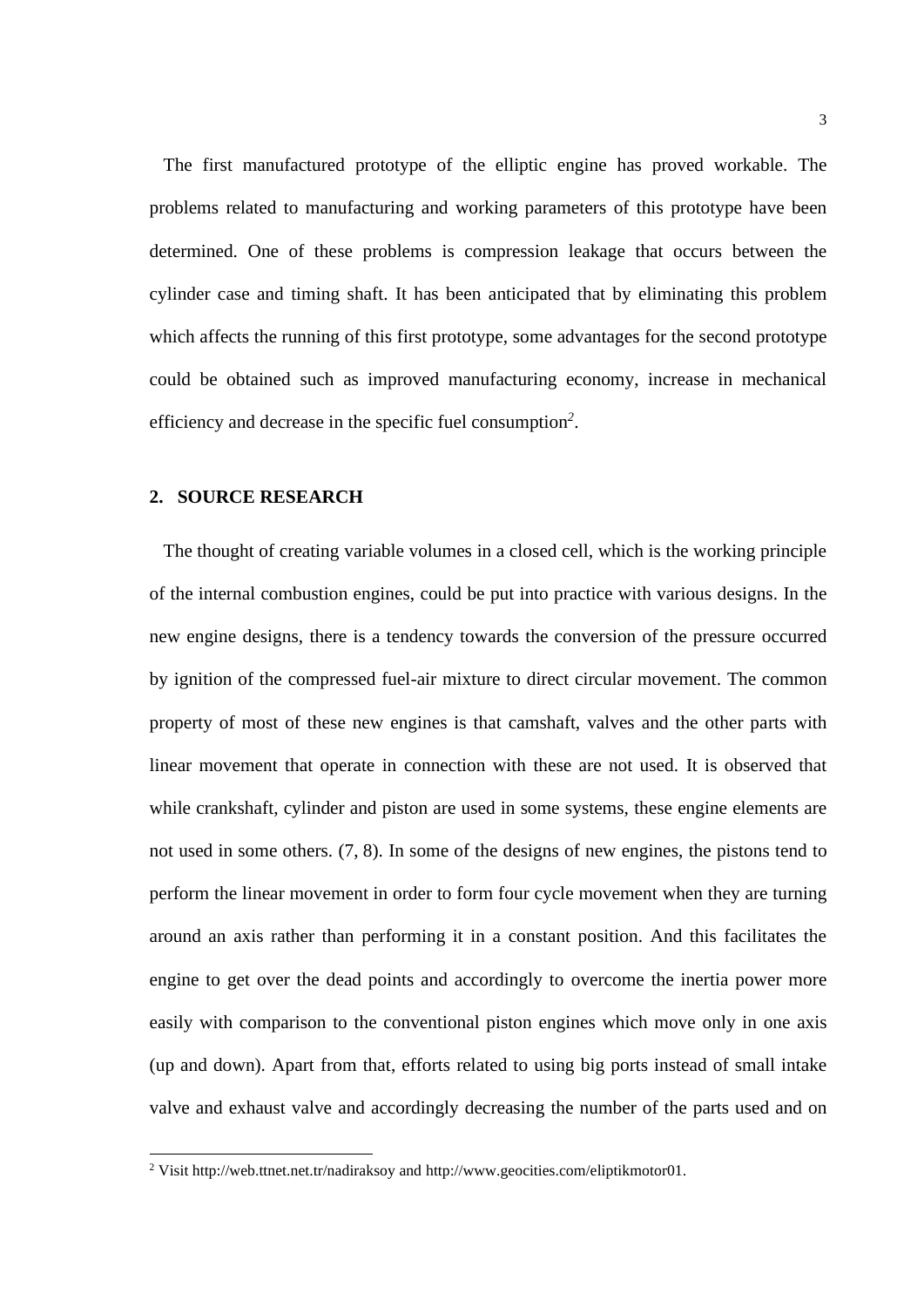The first manufactured prototype of the elliptic engine has proved workable. The problems related to manufacturing and working parameters of this prototype have been determined. One of these problems is compression leakage that occurs between the cylinder case and timing shaft. It has been anticipated that by eliminating this problem which affects the running of this first prototype, some advantages for the second prototype could be obtained such as improved manufacturing economy, increase in mechanical efficiency and decrease in the specific fuel consumption*<sup>2</sup>* .

#### **2. SOURCE RESEARCH**

 The thought of creating variable volumes in a closed cell, which is the working principle of the internal combustion engines, could be put into practice with various designs. In the new engine designs, there is a tendency towards the conversion of the pressure occurred by ignition of the compressed fuel-air mixture to direct circular movement. The common property of most of these new engines is that camshaft, valves and the other parts with linear movement that operate in connection with these are not used. It is observed that while crankshaft, cylinder and piston are used in some systems, these engine elements are not used in some others. (7, 8). In some of the designs of new engines, the pistons tend to perform the linear movement in order to form four cycle movement when they are turning around an axis rather than performing it in a constant position. And this facilitates the engine to get over the dead points and accordingly to overcome the inertia power more easily with comparison to the conventional piston engines which move only in one axis (up and down). Apart from that, efforts related to using big ports instead of small intake valve and exhaust valve and accordingly decreasing the number of the parts used and on

<sup>2</sup> Visit [http://web.ttnet.net.tr/nadiraksoy and](http://web.ttnet.net.tr/nadiraksoy%20and%20e) [http://www.geocities.com/el](http://www.geocities.com/e)iptikmotor01.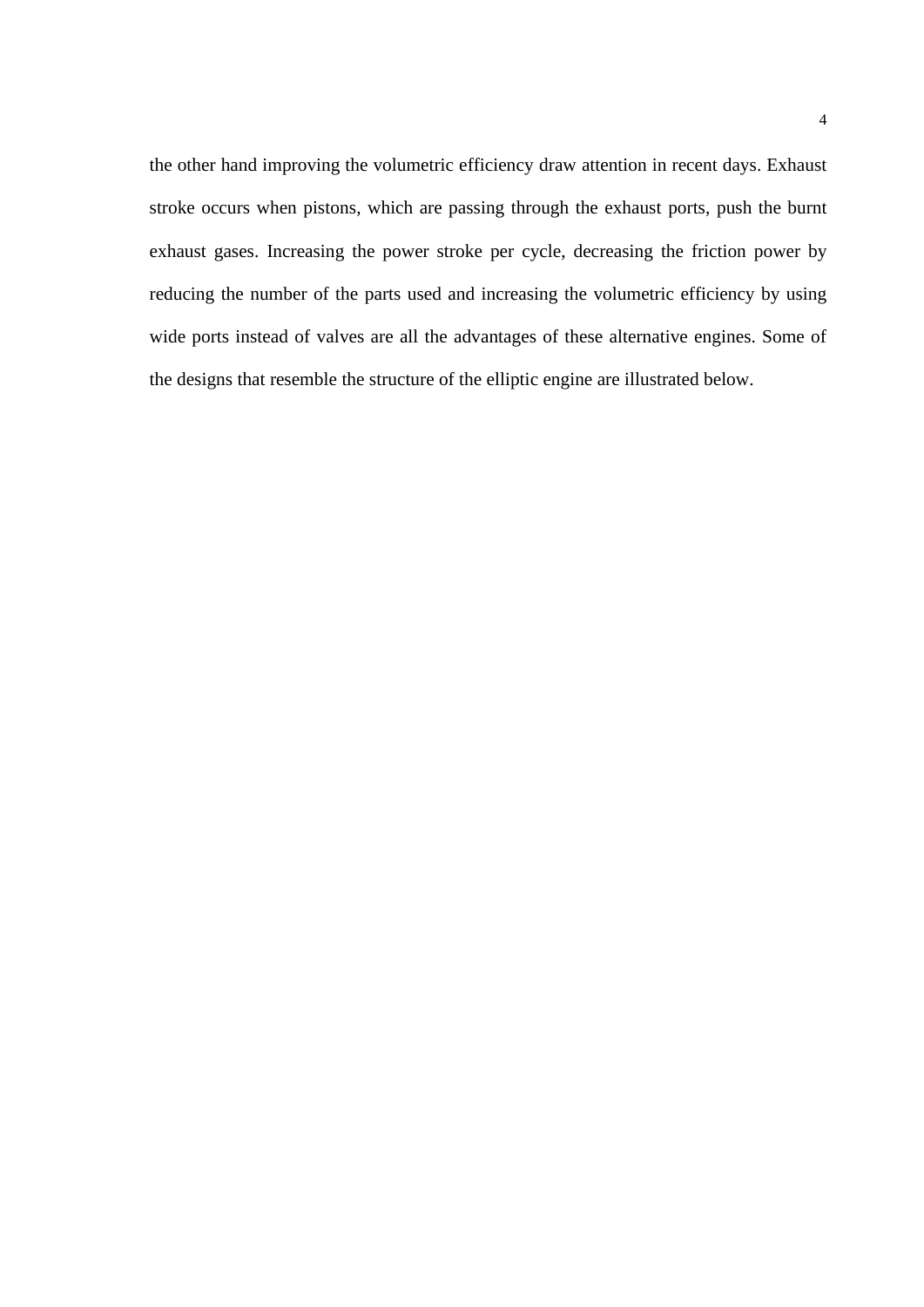the other hand improving the volumetric efficiency draw attention in recent days. Exhaust stroke occurs when pistons, which are passing through the exhaust ports, push the burnt exhaust gases. Increasing the power stroke per cycle, decreasing the friction power by reducing the number of the parts used and increasing the volumetric efficiency by using wide ports instead of valves are all the advantages of these alternative engines. Some of the designs that resemble the structure of the elliptic engine are illustrated below.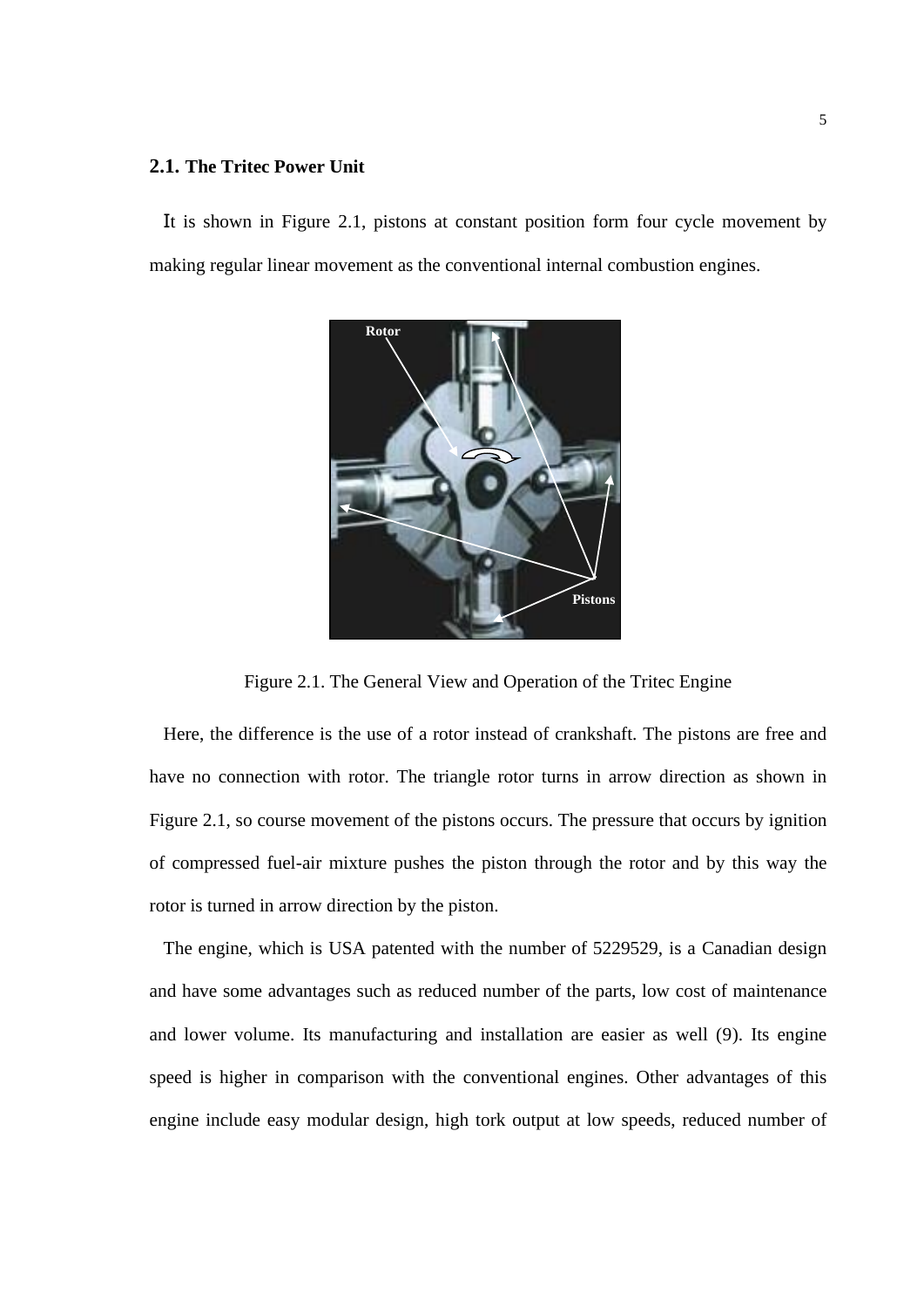## **2.1. The Tritec Power Unit**

 It is shown in Figure 2.1, pistons at constant position form four cycle movement by making regular linear movement as the conventional internal combustion engines.



Figure 2.1. The General View and Operation of the Tritec Engine

 Here, the difference is the use of a rotor instead of crankshaft. The pistons are free and have no connection with rotor. The triangle rotor turns in arrow direction as shown in Figure 2.1, so course movement of the pistons occurs. The pressure that occurs by ignition of compressed fuel-air mixture pushes the piston through the rotor and by this way the rotor is turned in arrow direction by the piston.

 The engine, which is USA patented with the number of 5229529, is a Canadian design and have some advantages such as reduced number of the parts, low cost of maintenance and lower volume. Its manufacturing and installation are easier as well (9). Its engine speed is higher in comparison with the conventional engines. Other advantages of this engine include easy modular design, high tork output at low speeds, reduced number of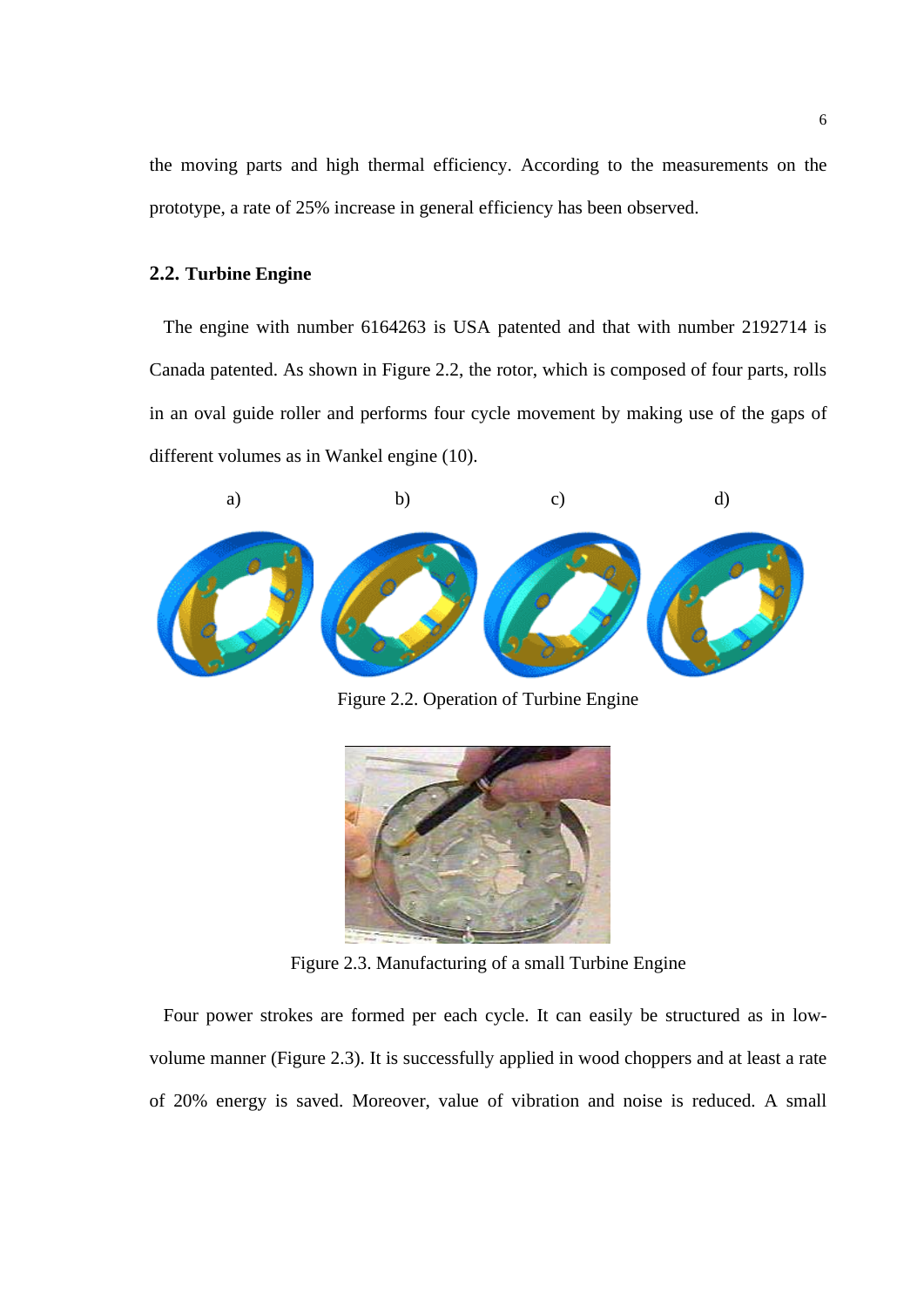the moving parts and high thermal efficiency. According to the measurements on the prototype, a rate of 25% increase in general efficiency has been observed.

## **2.2. Turbine Engine**

 The engine with number 6164263 is USA patented and that with number 2192714 is Canada patented. As shown in Figure 2.2, the rotor, which is composed of four parts, rolls in an oval guide roller and performs four cycle movement by making use of the gaps of different volumes as in Wankel engine (10).



Figure 2.2. Operation of Turbine Engine



Figure 2.3. Manufacturing of a small Turbine Engine

 Four power strokes are formed per each cycle. It can easily be structured as in lowvolume manner (Figure 2.3). It is successfully applied in wood choppers and at least a rate of 20% energy is saved. Moreover, value of vibration and noise is reduced. A small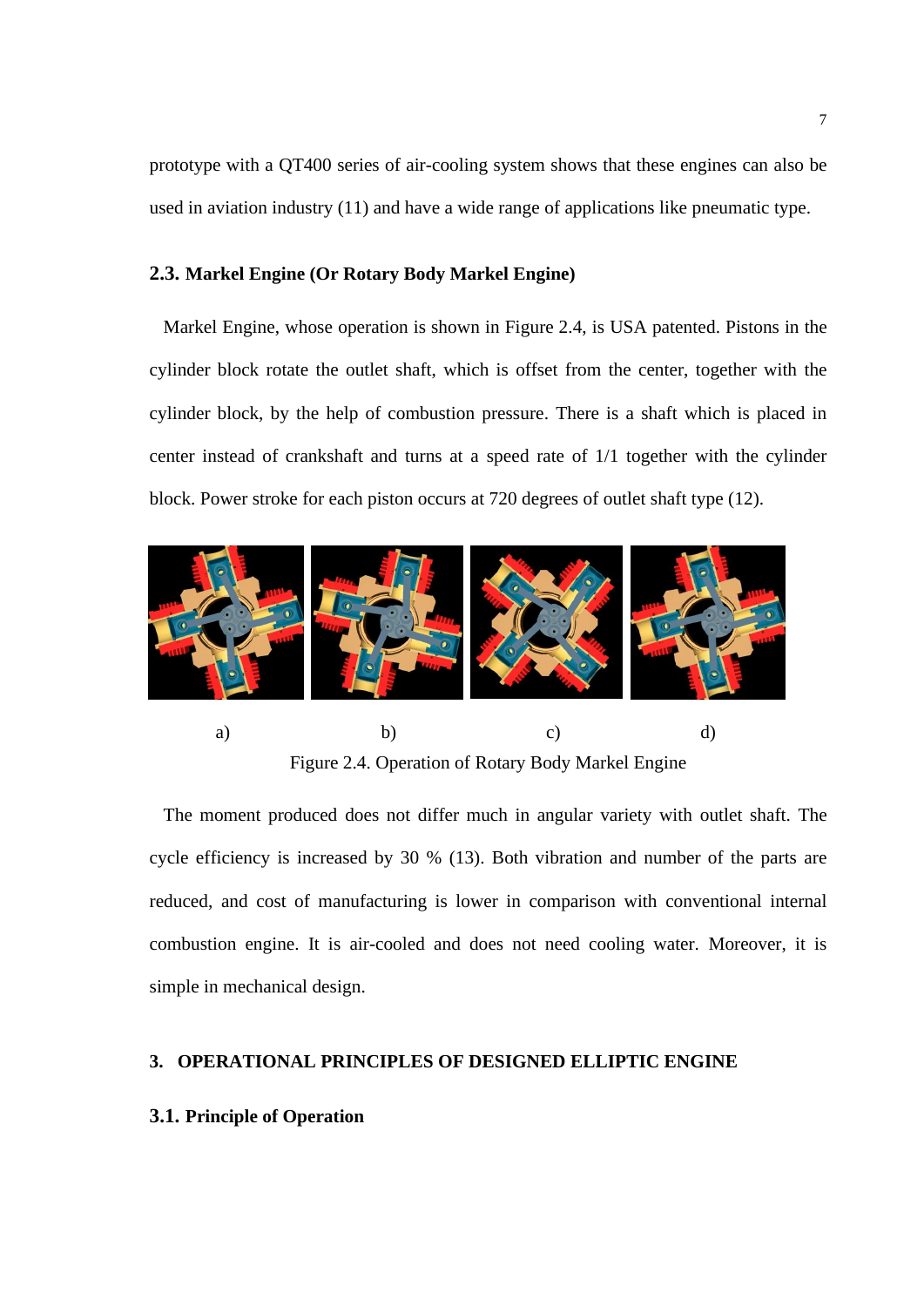prototype with a QT400 series of air-cooling system shows that these engines can also be used in aviation industry (11) and have a wide range of applications like pneumatic type.

#### **2.3. Markel Engine (Or Rotary Body Markel Engine)**

 Markel Engine, whose operation is shown in Figure 2.4, is USA patented. Pistons in the cylinder block rotate the outlet shaft, which is offset from the center, together with the cylinder block, by the help of combustion pressure. There is a shaft which is placed in center instead of crankshaft and turns at a speed rate of 1/1 together with the cylinder block. Power stroke for each piston occurs at 720 degrees of outlet shaft type (12).



Figure 2.4. Operation of Rotary Body Markel Engine

 The moment produced does not differ much in angular variety with outlet shaft. The cycle efficiency is increased by 30 % (13). Both vibration and number of the parts are reduced, and cost of manufacturing is lower in comparison with conventional internal combustion engine. It is air-cooled and does not need cooling water. Moreover, it is simple in mechanical design.

# **3. OPERATIONAL PRINCIPLES OF DESIGNED ELLIPTIC ENGINE**

### **3.1. Principle of Operation**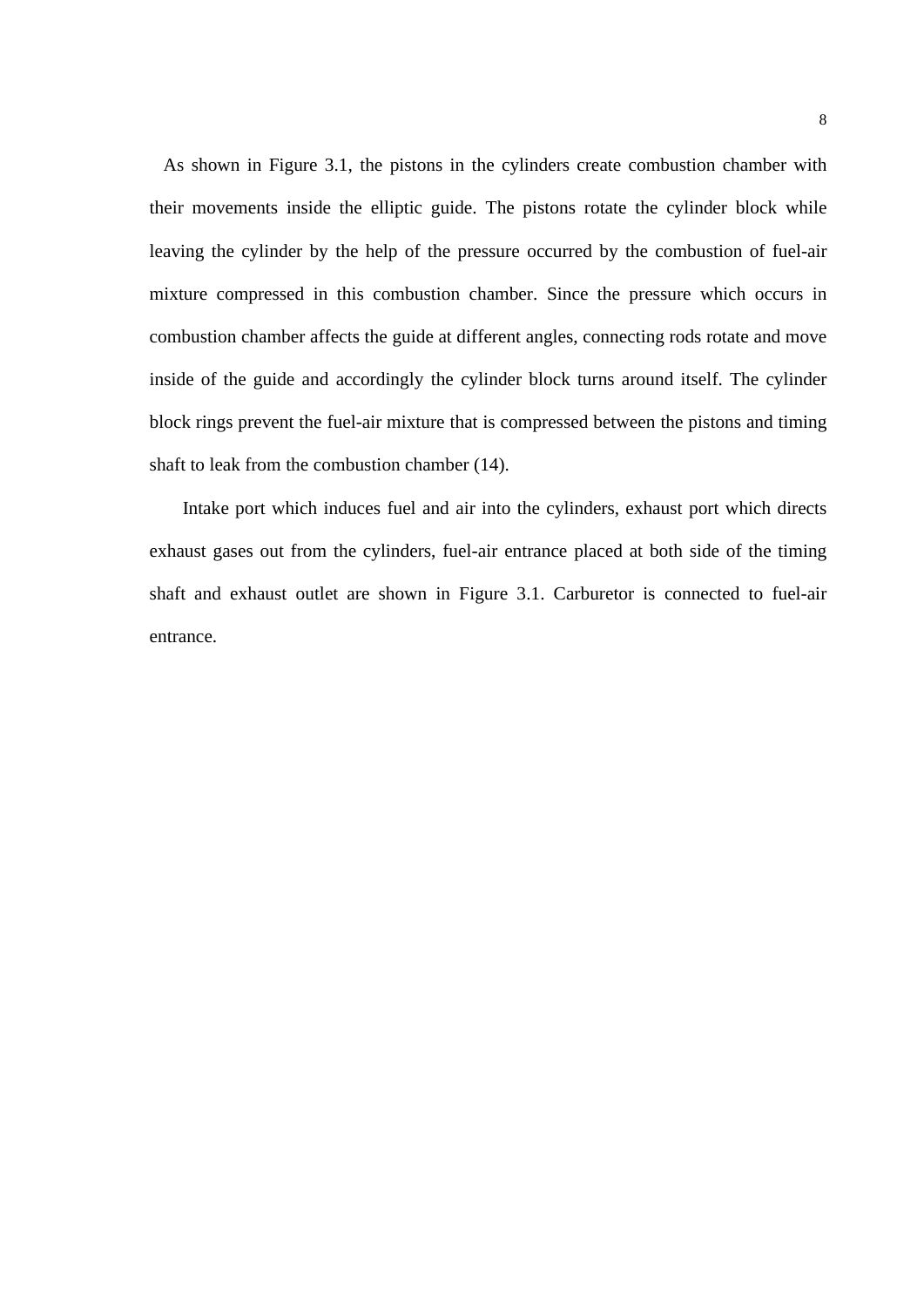As shown in Figure 3.1, the pistons in the cylinders create combustion chamber with their movements inside the elliptic guide. The pistons rotate the cylinder block while leaving the cylinder by the help of the pressure occurred by the combustion of fuel-air mixture compressed in this combustion chamber. Since the pressure which occurs in combustion chamber affects the guide at different angles, connecting rods rotate and move inside of the guide and accordingly the cylinder block turns around itself. The cylinder block rings prevent the fuel-air mixture that is compressed between the pistons and timing shaft to leak from the combustion chamber (14).

Intake port which induces fuel and air into the cylinders, exhaust port which directs exhaust gases out from the cylinders, fuel-air entrance placed at both side of the timing shaft and exhaust outlet are shown in Figure 3.1. Carburetor is connected to fuel-air entrance.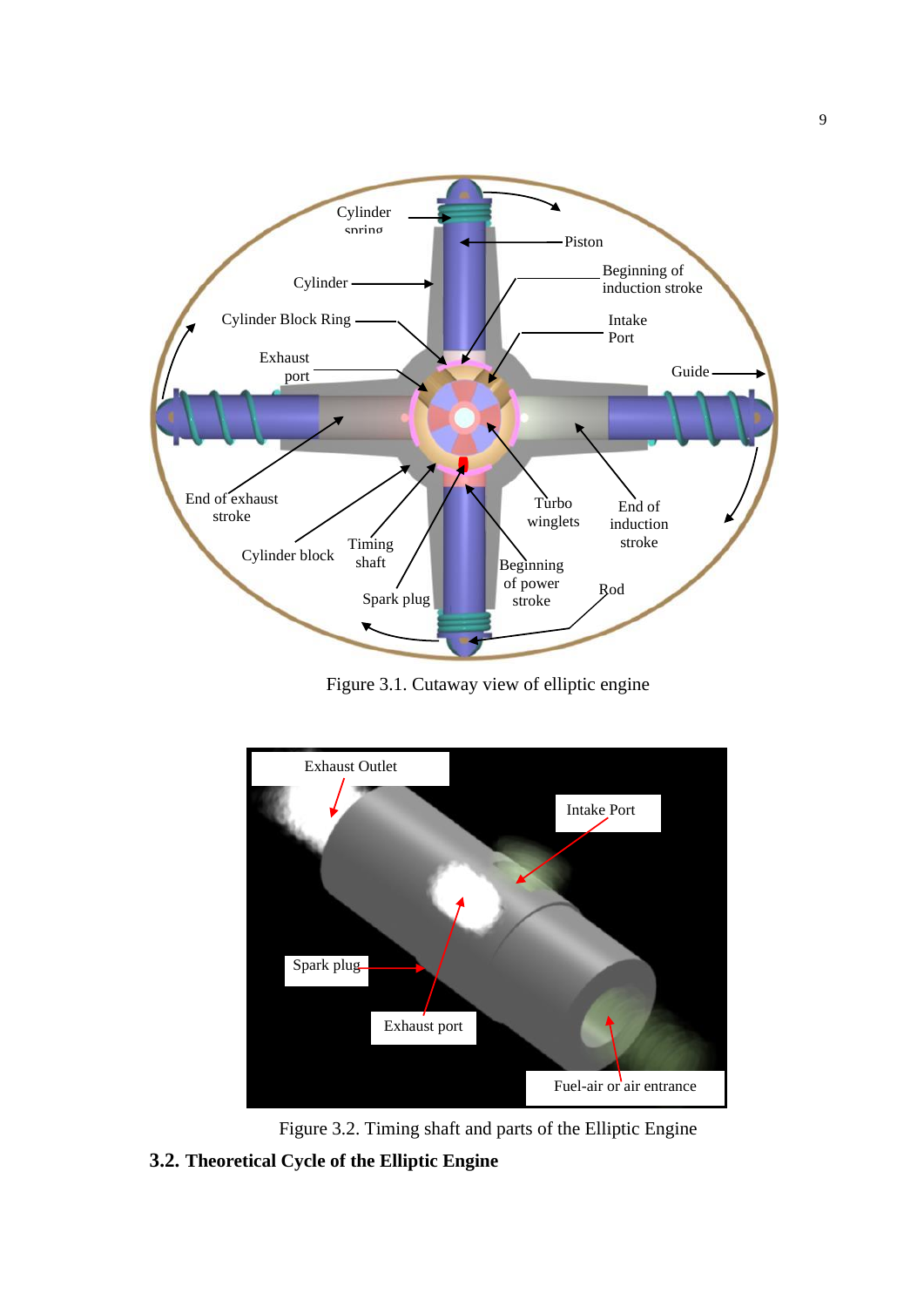

Figure 3.1. Cutaway view of elliptic engine



Figure 3.2. Timing shaft and parts of the Elliptic Engine

**3.2. Theoretical Cycle of the Elliptic Engine**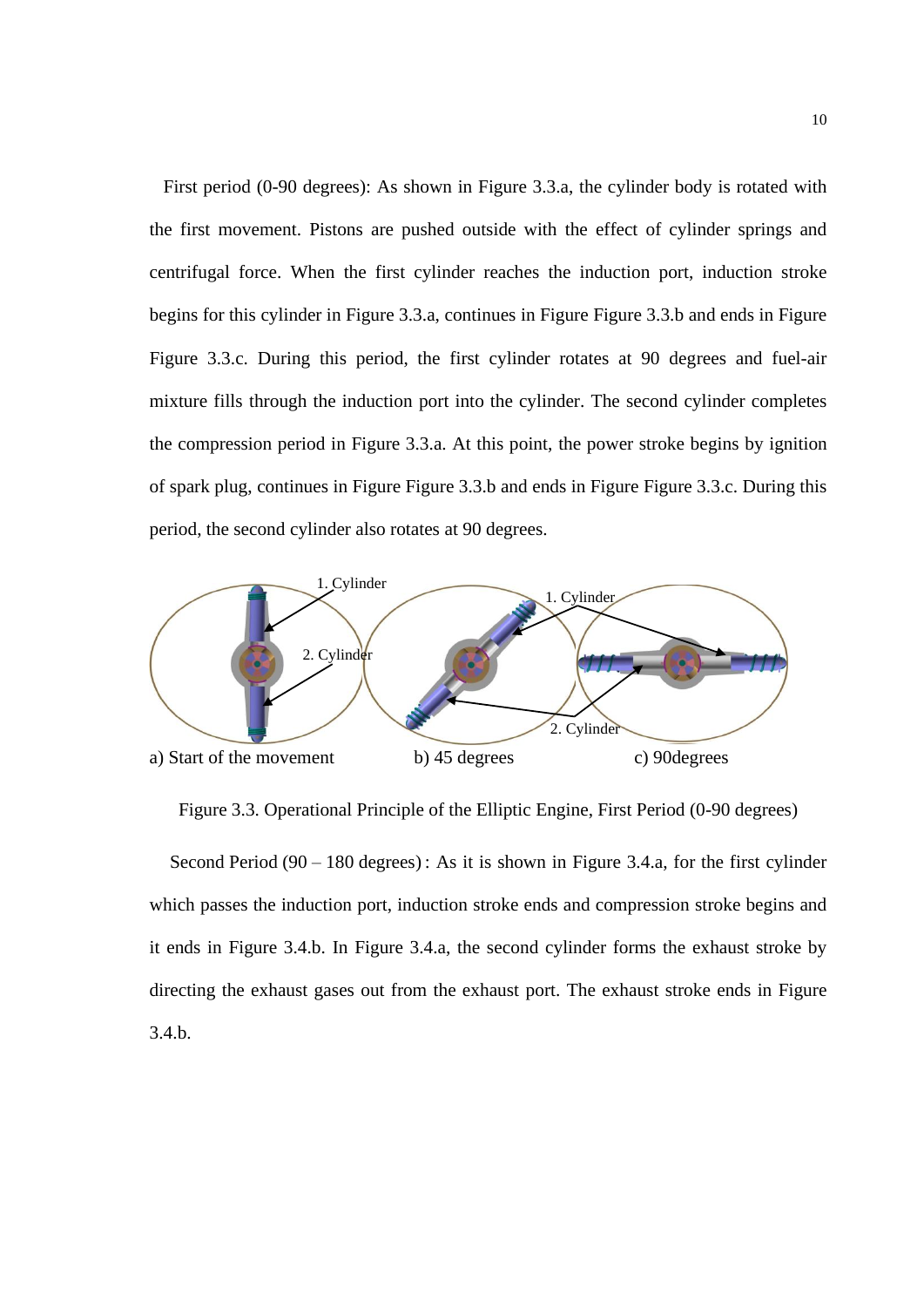First period (0-90 degrees): As shown in Figure 3.3.a, the cylinder body is rotated with the first movement. Pistons are pushed outside with the effect of cylinder springs and centrifugal force. When the first cylinder reaches the induction port, induction stroke begins for this cylinder in Figure 3.3.a, continues in Figure [Figure 3.3.](#page-9-0)b and ends in Figure [Figure 3.3.](#page-9-0)c. During this period, the first cylinder rotates at 90 degrees and fuel-air mixture fills through the induction port into the cylinder. The second cylinder completes the compression period in Figure 3.3.a. At this point, the power stroke begins by ignition of spark plug, continues in Figure [Figure 3.3.](#page-9-0)b and ends in Figure [Figure 3.3.](#page-9-0)c. During this period, the second cylinder also rotates at 90 degrees.



<span id="page-9-0"></span>Figure 3.3. Operational Principle of the Elliptic Engine, First Period (0-90 degrees)

 Second Period (90 – 180 degrees) : As it is shown in [Figure](#page-10-0) 3.4.a, for the first cylinder which passes the induction port, induction stroke ends and compression stroke begins and it ends in [Figure](#page-10-0) 3.4.b. In [Figure](#page-10-0) 3.4.a, the second cylinder forms the exhaust stroke by directing the exhaust gases out from the exhaust port. The exhaust stroke ends in [Figure](#page-10-0) [3.4.](#page-10-0)b.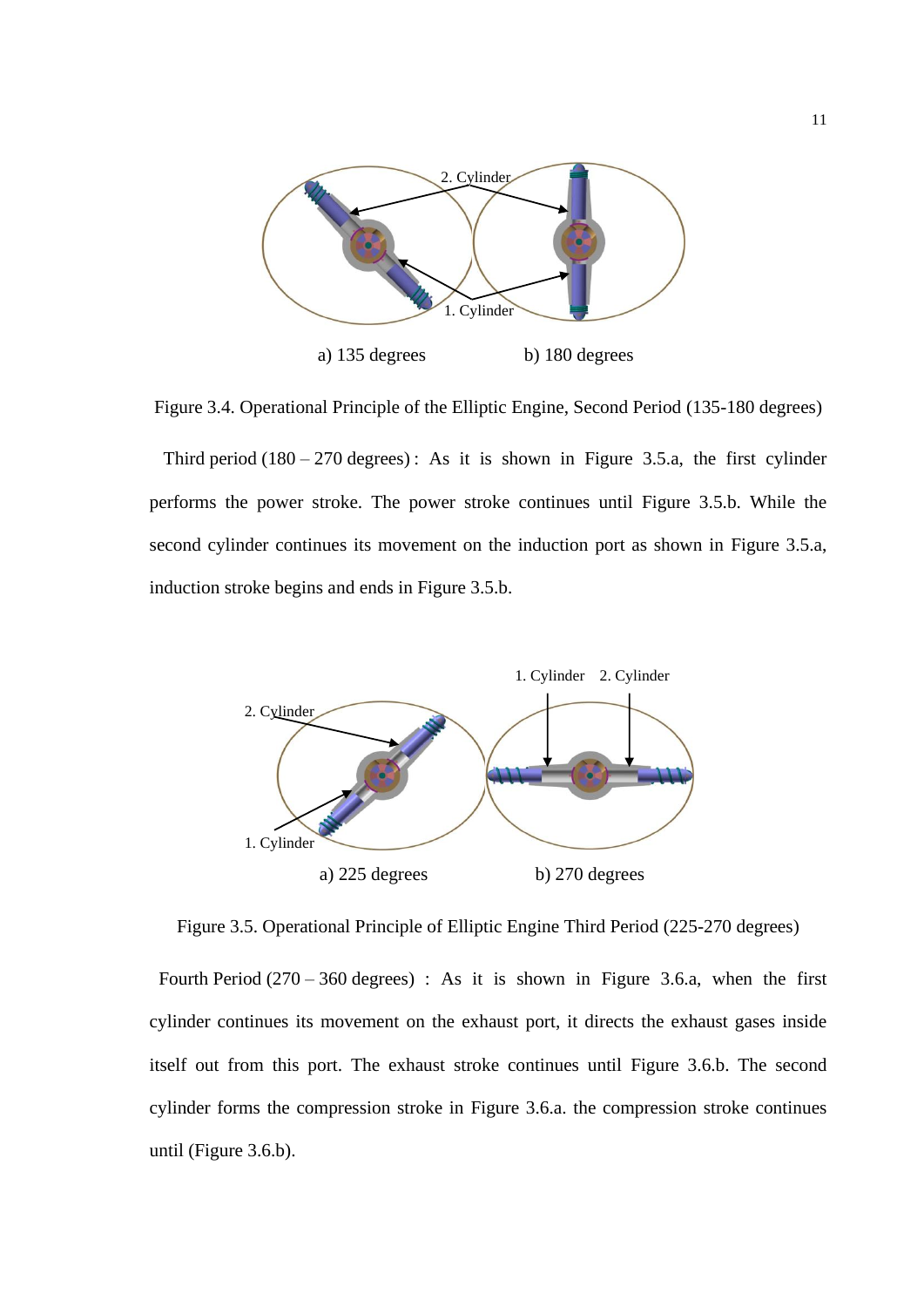

<span id="page-10-0"></span>Figure 3.4. Operational Principle of the Elliptic Engine, Second Period (135-180 degrees)

Third period  $(180 - 270$  degrees): As it is shown in [Figure](#page-10-1) 3.5.a, the first cylinder performs the power stroke. The power stroke continues until [Figure](#page-10-1) 3.5.b. While the second cylinder continues its movement on the induction port as shown in [Figure](#page-10-1) 3.5.a, induction stroke begins and ends in [Figure](#page-10-1) 3.5.b.



<span id="page-10-1"></span>Figure 3.5. Operational Principle of Elliptic Engine Third Period (225-270 degrees)

Fourth Period  $(270 - 360$  degrees) : As it is shown in [Figure](#page-11-0) 3.6.a, when the first cylinder continues its movement on the exhaust port, it directs the exhaust gases inside itself out from this port. The exhaust stroke continues until [Figure](#page-11-0) 3.6.b. The second cylinder forms the compression stroke in [Figure](#page-11-0) 3.6.a. the compression stroke continues until [\(Figure](#page-11-0) 3.6.b).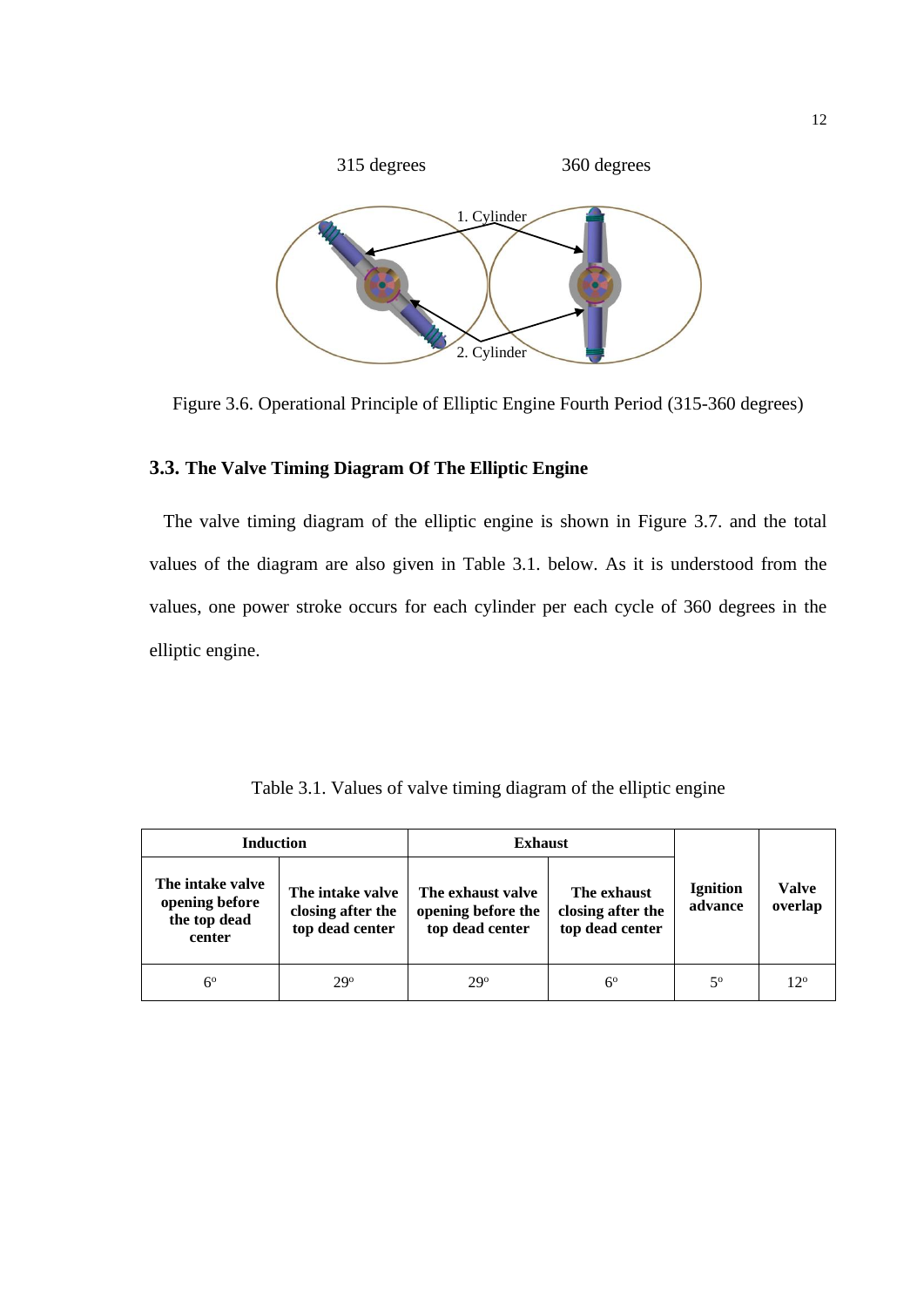

<span id="page-11-0"></span>Figure 3.6. Operational Principle of Elliptic Engine Fourth Period (315-360 degrees)

# **3.3. The Valve Timing Diagram Of The Elliptic Engine**

 The valve timing diagram of the elliptic engine is shown in Figure 3.7. and the total values of the diagram are also given in Table 3.1. below. As it is understood from the values, one power stroke occurs for each cylinder per each cycle of 360 degrees in the elliptic engine.

Table 3.1. Values of valve timing diagram of the elliptic engine

| <b>Induction</b>                                             |                                                          | <b>Exhaust</b>                                             |                                                     |                            |                         |
|--------------------------------------------------------------|----------------------------------------------------------|------------------------------------------------------------|-----------------------------------------------------|----------------------------|-------------------------|
| The intake valve<br>opening before<br>the top dead<br>center | The intake valve<br>closing after the<br>top dead center | The exhaust valve<br>opening before the<br>top dead center | The exhaust<br>closing after the<br>top dead center | <b>Ignition</b><br>advance | <b>Valve</b><br>overlap |
| $6^{\circ}$                                                  | 29°                                                      | $29^{\circ}$                                               | $6^{\circ}$                                         | $5^{\rm o}$                | $12^{\circ}$            |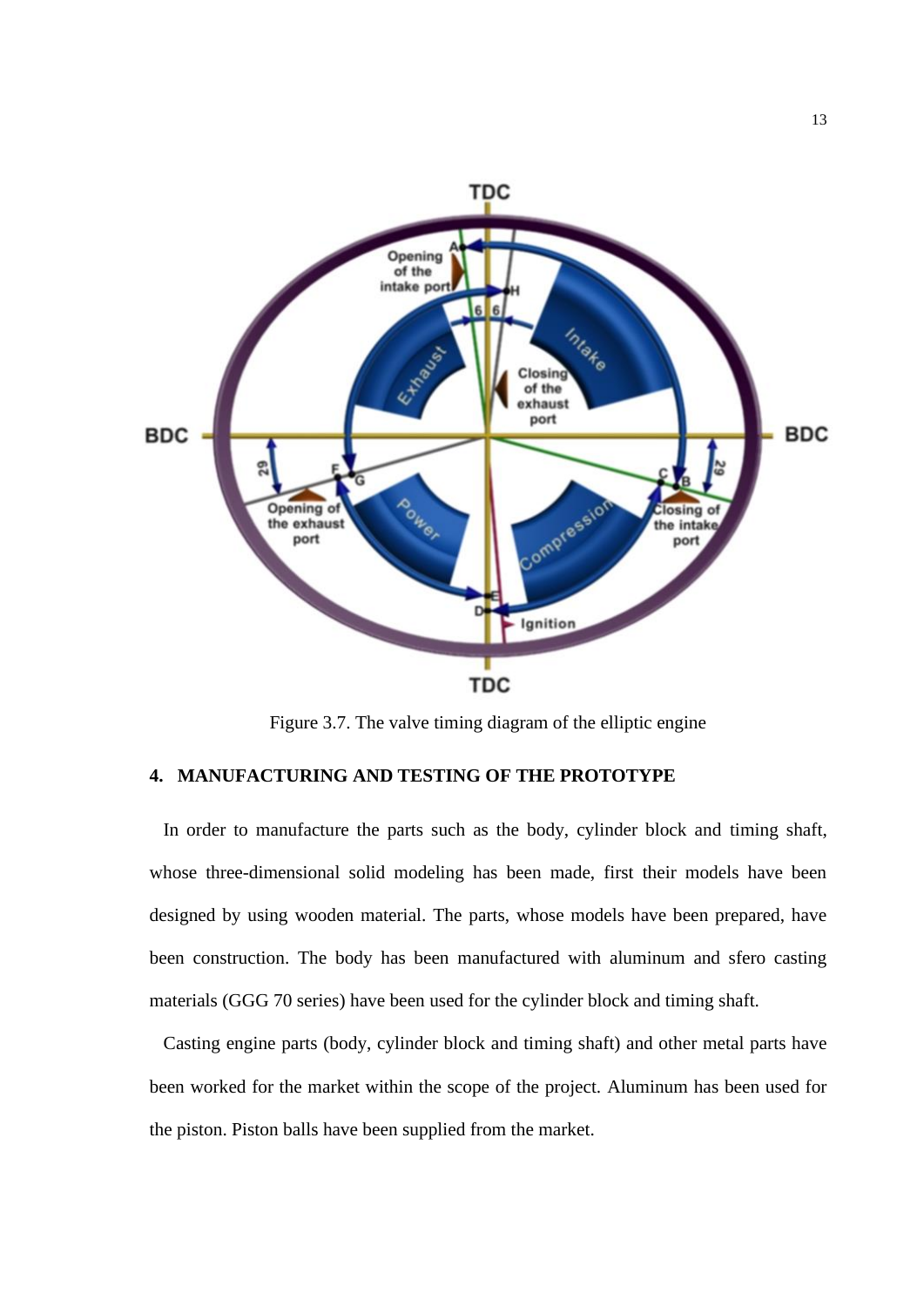

Figure 3.7. The valve timing diagram of the elliptic engine

# **4. MANUFACTURING AND TESTING OF THE PROTOTYPE**

 In order to manufacture the parts such as the body, cylinder block and timing shaft, whose three-dimensional solid modeling has been made, first their models have been designed by using wooden material. The parts, whose models have been prepared, have been construction. The body has been manufactured with aluminum and sfero casting materials (GGG 70 series) have been used for the cylinder block and timing shaft.

 Casting engine parts (body, cylinder block and timing shaft) and other metal parts have been worked for the market within the scope of the project. Aluminum has been used for the piston. Piston balls have been supplied from the market.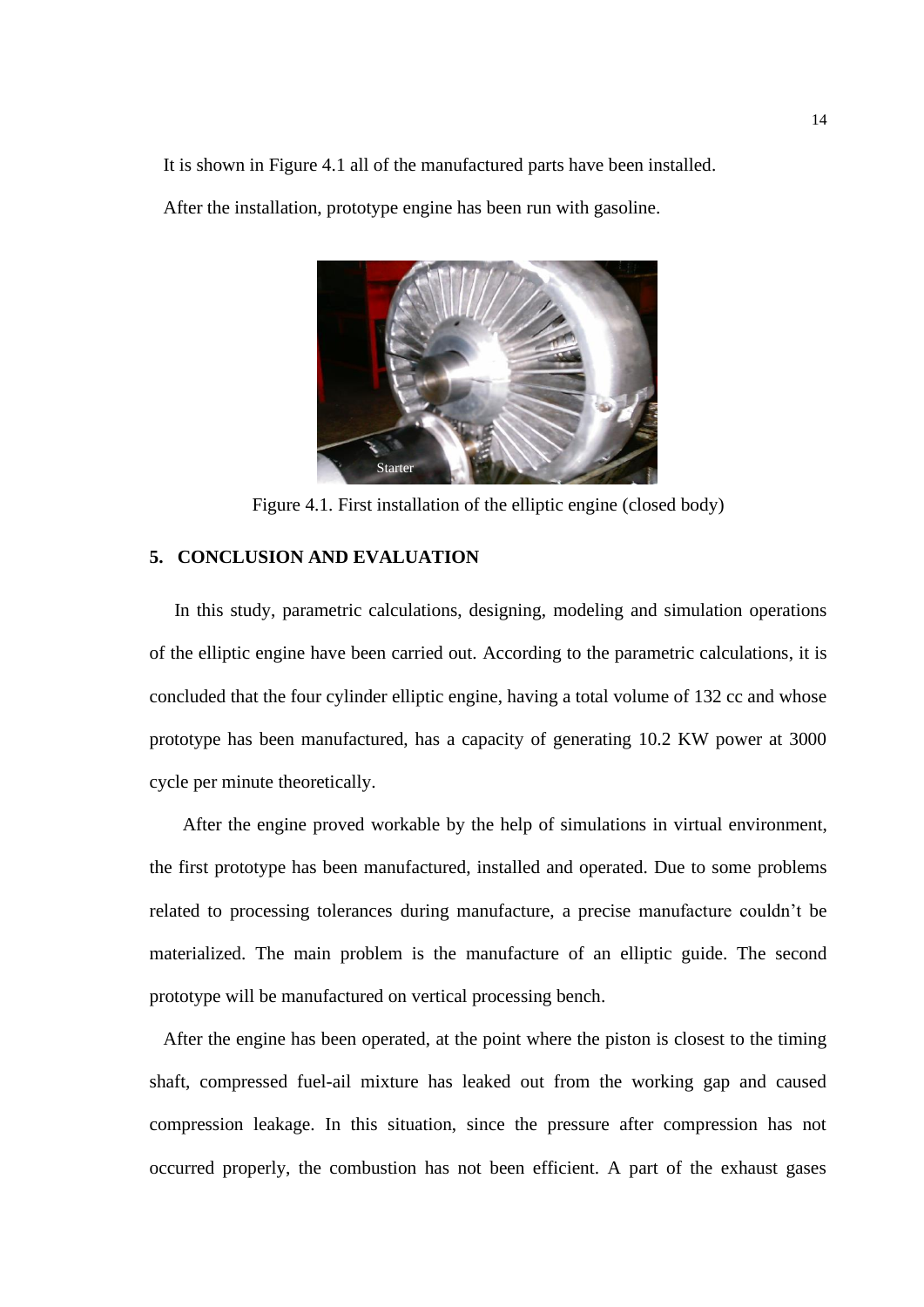It is shown in Figure 4.1 all of the manufactured parts have been installed.

After the installation, prototype engine has been run with gasoline.



Figure 4.1. First installation of the elliptic engine (closed body)

# **5. CONCLUSION AND EVALUATION**

 In this study, parametric calculations, designing, modeling and simulation operations of the elliptic engine have been carried out. According to the parametric calculations, it is concluded that the four cylinder elliptic engine, having a total volume of 132 cc and whose prototype has been manufactured, has a capacity of generating 10.2 KW power at 3000 cycle per minute theoretically.

After the engine proved workable by the help of simulations in virtual environment, the first prototype has been manufactured, installed and operated. Due to some problems related to processing tolerances during manufacture, a precise manufacture couldn't be materialized. The main problem is the manufacture of an elliptic guide. The second prototype will be manufactured on vertical processing bench.

 After the engine has been operated, at the point where the piston is closest to the timing shaft, compressed fuel-ail mixture has leaked out from the working gap and caused compression leakage. In this situation, since the pressure after compression has not occurred properly, the combustion has not been efficient. A part of the exhaust gases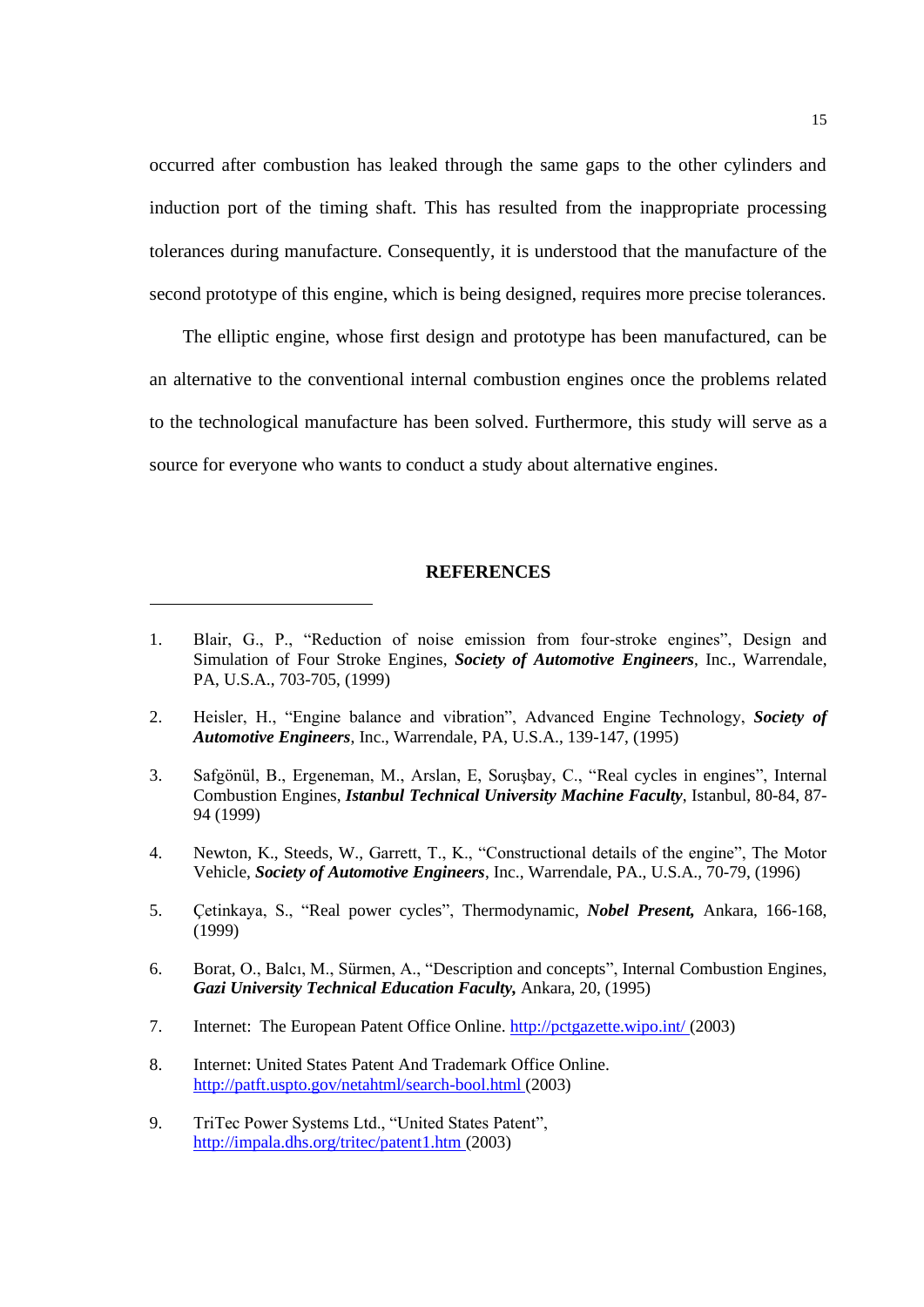occurred after combustion has leaked through the same gaps to the other cylinders and induction port of the timing shaft. This has resulted from the inappropriate processing tolerances during manufacture. Consequently, it is understood that the manufacture of the second prototype of this engine, which is being designed, requires more precise tolerances.

The elliptic engine, whose first design and prototype has been manufactured, can be an alternative to the conventional internal combustion engines once the problems related to the technological manufacture has been solved. Furthermore, this study will serve as a source for everyone who wants to conduct a study about alternative engines.

#### **REFERENCES**

- 2. Heisler, H., "Engine balance and vibration", Advanced Engine Technology, *Society of Automotive Engineers*, Inc., Warrendale, PA, U.S.A., 139-147, (1995)
- 3. Safgönül, B., Ergeneman, M., Arslan, E, Soruşbay, C., "Real cycles in engines", Internal Combustion Engines, *Istanbul Technical University Machine Faculty*, Istanbul, 80-84, 87- 94 (1999)
- 4. Newton, K., Steeds, W., Garrett, T., K., "Constructional details of the engine", The Motor Vehicle, *Society of Automotive Engineers*, Inc., Warrendale, PA., U.S.A., 70-79, (1996)
- 5. Çetinkaya, S., "Real power cycles", Thermodynamic, *Nobel Present,* Ankara, 166-168, (1999)
- 6. Borat, O., Balcı, M., Sürmen, A., "Description and concepts", Internal Combustion Engines, *Gazi University Technical Education Faculty,* Ankara, 20, (1995)
- 7. Internet: The European Patent Office Online.<http://pctgazette.wipo.int/> (2003)
- 8. Internet: United States Patent And Trademark Office Online. <http://patft.uspto.gov/netahtml/search-bool.html> (2003)
- 9. TriTec Power Systems Ltd., "United States Patent", <http://impala.dhs.org/tritec/patent1.htm> (2003)

<sup>1.</sup> Blair, G., P., "Reduction of noise emission from four-stroke engines", Design and Simulation of Four Stroke Engines, *Society of Automotive Engineers*, Inc., Warrendale, PA, U.S.A., 703-705, (1999)